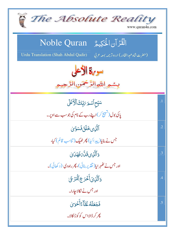| The Absolute Reality<br>www.quran4u.com                                                                                 |                 |
|-------------------------------------------------------------------------------------------------------------------------|-----------------|
| الْقُرْآنِ الْحَكِيمُ ِ Noble Quran<br>Urdu Translation (Shah Abdul Qadir)<br>(حضرت شاہ عبدالقادر) اردوتر جمہ بمعہ عربی |                 |
| سورة الأعلى<br>بسمو اللوالرَّحْمَنِ الرَّحِيمِ                                                                          |                 |
| سَبِّح ٱسۡمَ ٖ رَبِّكَ ٱلۡأَكۡلَى                                                                                       | $\cdot$ 1       |
| یا کی بول (تسبیح کر)اپنے رب کے نام کی جوسب سے اوپر۔                                                                     |                 |
| ٱلَّٰٓنِى خَلَقَ فَسَوَّىٰ                                                                                              | $\overline{.2}$ |
| جس نے بنایا(پید اکیا) پھر ٹھیک (تناسب قائم) کیا،                                                                        |                 |
| <u>و</u> َٱلَّذِى قَلَّ مَفَهَدَىٰ                                                                                      | $\mathbf{.3}$   |
| اور جس نے تھُہر ایا( تقدیر بنائی)، پھر راہ دی ( د کھائی)۔                                                               |                 |
| <u>وَ</u> ٱلَّذِيَ أَخْرَجَ ٱلْمَرْعَىٰ                                                                                 | .4              |
| اور جس نے نکالا جارا۔                                                                                                   |                 |
| فَجَعَلَهُ غُثَآءًأَخَوَىٰ                                                                                              | .5              |
| چر کر ڈالااس کو کوڑاکالا۔                                                                                               |                 |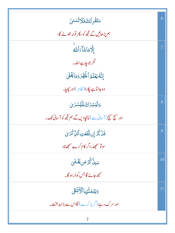| ڛؙٛڠٞڔػ۠ٙڬٙۏؘڶٳڐؘٮٚۺ                                  | .6               |
|-------------------------------------------------------|------------------|
| ہم پڑھائیں گے تجھ کو، پھر تونہ جولے گا،               |                  |
| ٳٱۜڐۄؘٳۺؘٲۦٙٳٱؾۜ                                      | $\cdot$ 7        |
| گر جو ڇاپ الله ۔                                      |                  |
| إِنَّهُ يَعْلَمُ ٱلْجَهْرَ وَمَا يَخْفَىٰ             |                  |
| دہ جانتاہے لِکارا( ظاہر )اور جھیا۔                    |                  |
| وَنُيَسِّرُكَ لِلَّيْسَرَىٰ                           | .8               |
| اور سہج سہج(آسانی سے) پہنچادیں گے ہم تجھ کو آسانی تک۔ |                  |
| فَلَكِّرۡ إِن نَّفَعَتِ ٱلَّذِكْرَىٰ                  | .9               |
| سونوسمجھا۔اگر کام کرے سمجھانا،                        |                  |
| سَيَلَّ كَّرُ <b>مَن يَخْشَى</b>                      | .10              |
| سمجھ جائے گا جس کو ڈر ہو گا۔                          |                  |
| <b>وَيَتَجَنَّبُهَا ٱلْأَشْقَى</b>                    | $\overline{.11}$ |
| اور سرک رہے (گریز کرے) گااس سے بڑابلہ بخت۔            |                  |
| $\overline{2}$                                        |                  |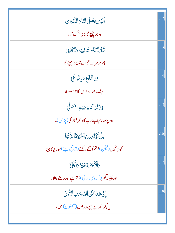| ٱلَّذِي يَصَٰلَى ٱلتَّاَىَ ٱلۡكُبۡرَىٰ                   | .12 |
|----------------------------------------------------------|-----|
| ده جو پہنچے گابڑی آگ میں،                                |     |
| ثُمَّرَلَا يَمُوتُ فِيهَا وَلَا يَجْبَى                  | .13 |
| چرنہ مرے گااس میں نہ جیئے گا۔                            |     |
| قَلۡ أَفۡلَۃَمَن تَزَكَّىٰ                               | .14 |
| بيثك بھلاہوااس كاجوسنورا،                                |     |
| <b>وَذَكَرَ ٱسْمَ ِيَہِ لَا صَلَّىٰ</b>                  | .15 |
| اور پڑھانام اپنے رب کا، پھر نماز کی (پڑھی)۔              |     |
| بَلُ تُؤَثِّرُونَ الْحُيَوٰةَ الدُّنْيَا                 | .16 |
| کوئی نہیں(لیکن)! تم آگے رکھتے(ترجیح دیتے)ہو د نیاکاجینا، |     |
| <u>وَٱلۡأَخِرَةُٰٓ خَبۡرٌۢ وَأَبۡقَىٰٓ</u>               | .17 |
| اور پچھلاگھر (اُخر وی زند گی) بہتر ہے اور رہنے والا۔     |     |
| إِنَّ هَذَالَفِي ٱلصُّحْفِ ٱلْأُولَىٰ                    | .18 |
| بير پڄھ لکھاہے پہلے ور قوں (صحيفوں) ميں،                 |     |
| 3                                                        |     |